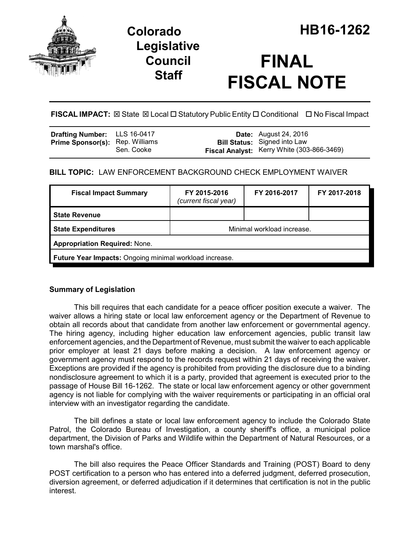

## **Legislative Council Staff**

# **FINAL FISCAL NOTE**

**FISCAL IMPACT:** ⊠ State ⊠ Local □ Statutory Public Entity □ Conditional □ No Fiscal Impact

| <b>Drafting Number:</b> LLS 16-0417    |            | <b>Date:</b> August 24, 2016                                                      |
|----------------------------------------|------------|-----------------------------------------------------------------------------------|
| <b>Prime Sponsor(s): Rep. Williams</b> | Sen. Cooke | <b>Bill Status:</b> Signed into Law<br>Fiscal Analyst: Kerry White (303-866-3469) |
|                                        |            |                                                                                   |

## **BILL TOPIC:** LAW ENFORCEMENT BACKGROUND CHECK EMPLOYMENT WAIVER

| <b>Fiscal Impact Summary</b>                            | FY 2015-2016<br>(current fiscal year) | FY 2016-2017 | FY 2017-2018 |  |  |
|---------------------------------------------------------|---------------------------------------|--------------|--------------|--|--|
| <b>State Revenue</b>                                    |                                       |              |              |  |  |
| <b>State Expenditures</b>                               | Minimal workload increase.            |              |              |  |  |
| <b>Appropriation Required: None.</b>                    |                                       |              |              |  |  |
| Future Year Impacts: Ongoing minimal workload increase. |                                       |              |              |  |  |

### **Summary of Legislation**

This bill requires that each candidate for a peace officer position execute a waiver. The waiver allows a hiring state or local law enforcement agency or the Department of Revenue to obtain all records about that candidate from another law enforcement or governmental agency. The hiring agency, including higher education law enforcement agencies, public transit law enforcement agencies, and the Department of Revenue, must submit the waiver to each applicable prior employer at least 21 days before making a decision. A law enforcement agency or government agency must respond to the records request within 21 days of receiving the waiver. Exceptions are provided if the agency is prohibited from providing the disclosure due to a binding nondisclosure agreement to which it is a party, provided that agreement is executed prior to the passage of House Bill 16-1262. The state or local law enforcement agency or other government agency is not liable for complying with the waiver requirements or participating in an official oral interview with an investigator regarding the candidate.

The bill defines a state or local law enforcement agency to include the Colorado State Patrol, the Colorado Bureau of Investigation, a county sheriff's office, a municipal police department, the Division of Parks and Wildlife within the Department of Natural Resources, or a town marshal's office.

The bill also requires the Peace Officer Standards and Training (POST) Board to deny POST certification to a person who has entered into a deferred judgment, deferred prosecution, diversion agreement, or deferred adjudication if it determines that certification is not in the public interest.